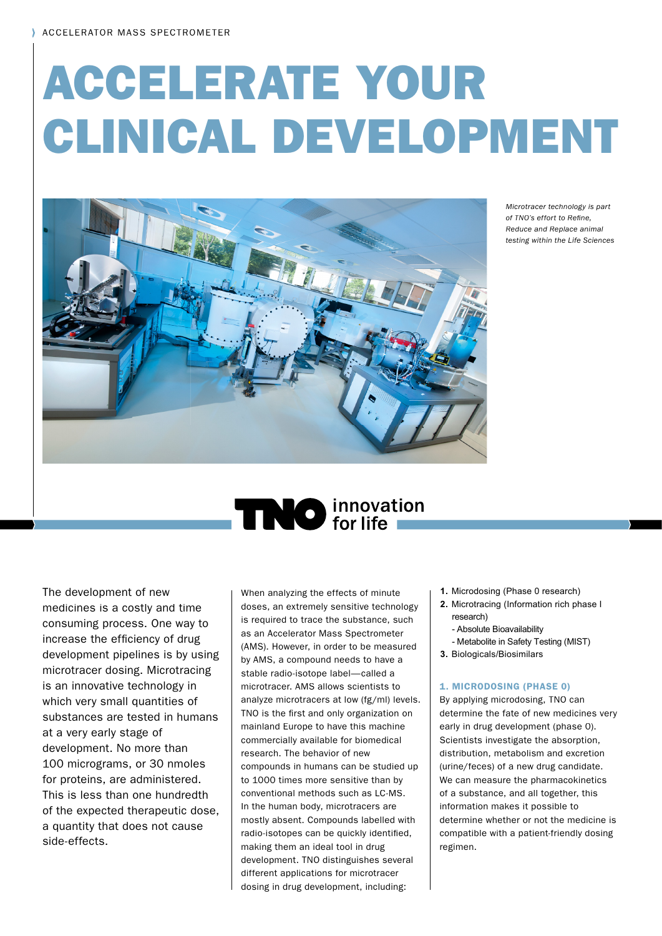# ACCELERATE YOUR CLINICAL DEVELOPMENT



*Microtracer technology is part*  of TNO's effort to Refine. *Reduce and Replace animal testing within the Life Sciences*

# **TINO** innovation

The development of new medicines is a costly and time consuming process. One way to increase the efficiency of drug development pipelines is by using microtracer dosing. Microtracing is an innovative technology in which very small quantities of substances are tested in humans at a very early stage of development. No more than 100 micrograms, or 30 nmoles for proteins, are administered. This is less than one hundredth of the expected therapeutic dose, a quantity that does not cause side-effects.

When analyzing the effects of minute doses, an extremely sensitive technology is required to trace the substance, such as an Accelerator Mass Spectrometer (AMS). However, in order to be measured by AMS, a compound needs to have a stable radio-isotope label—called a microtracer. AMS allows scientists to analyze microtracers at low (fg/ml) levels. TNO is the first and only organization on mainland Europe to have this machine commercially available for biomedical research. The behavior of new compounds in humans can be studied up to 1000 times more sensitive than by conventional methods such as LC-MS. In the human body, microtracers are mostly absent. Compounds labelled with radio-isotopes can be quickly identified, making them an ideal tool in drug development. TNO distinguishes several different applications for microtracer dosing in drug development, including:

- **1.** Microdosing (Phase 0 research)
- **2.** Microtracing (Information rich phase I research)
	- Absolute Bioavailability
	- Metabolite in Safety Testing (MIST)
- **3.** Biologicals/Biosimilars

#### 1. MICRODOSING (PHASE 0)

By applying microdosing, TNO can determine the fate of new medicines very early in drug development (phase 0). Scientists investigate the absorption, distribution, metabolism and excretion (urine/feces) of a new drug candidate. We can measure the pharmacokinetics of a substance, and all together, this information makes it possible to determine whether or not the medicine is compatible with a patient-friendly dosing regimen.